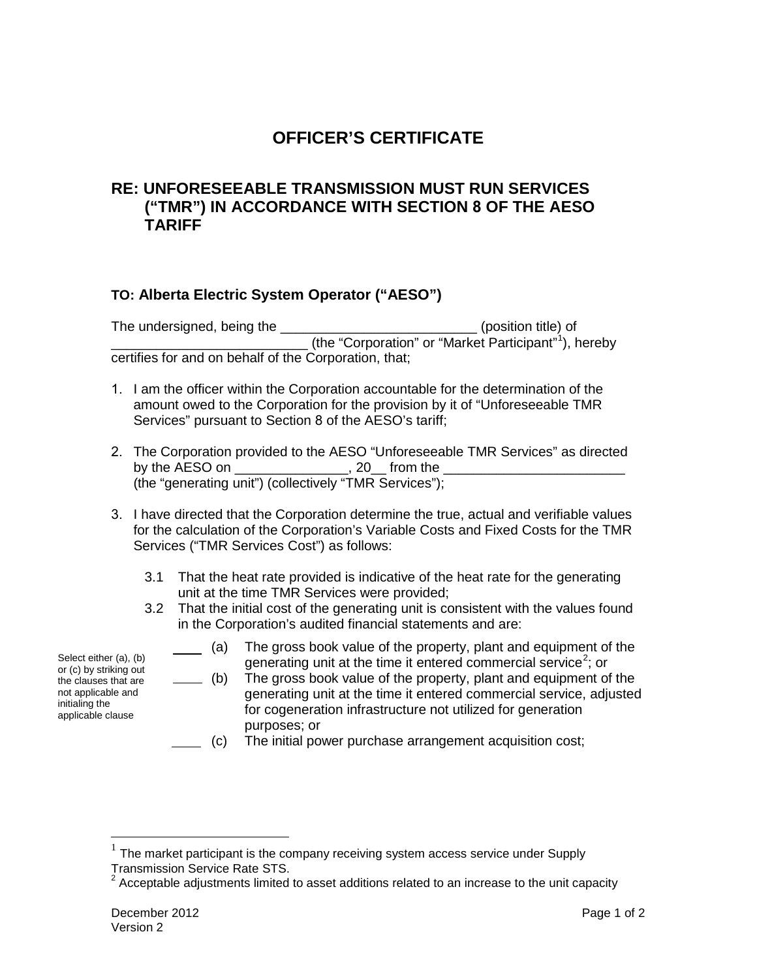## **OFFICER'S CERTIFICATE**

## **RE: UNFORESEEABLE TRANSMISSION MUST RUN SERVICES ("TMR") IN ACCORDANCE WITH SECTION 8 OF THE AESO TARIFF**

## **TO: Alberta Electric System Operator ("AESO")**

The undersigned, being the \_\_\_\_\_\_\_\_\_\_\_\_\_\_\_\_\_\_\_\_\_\_\_\_\_\_\_\_\_(position title) of \_\_\_\_\_\_\_\_\_\_\_\_\_\_\_\_\_\_\_\_\_\_\_\_\_\_ (the "Corporation" or "Market Participant" [1](#page-0-0) ), hereby certifies for and on behalf of the Corporation, that;

- 1. I am the officer within the Corporation accountable for the determination of the amount owed to the Corporation for the provision by it of "Unforeseeable TMR Services" pursuant to Section 8 of the AESO's tariff;
- 2. The Corporation provided to the AESO "Unforeseeable TMR Services" as directed by the AESO on  $\qquad \qquad$ , 20 from the (the "generating unit") (collectively "TMR Services");
- 3. I have directed that the Corporation determine the true, actual and verifiable values for the calculation of the Corporation's Variable Costs and Fixed Costs for the TMR Services ("TMR Services Cost") as follows:
	- 3.1 That the heat rate provided is indicative of the heat rate for the generating unit at the time TMR Services were provided;
	- 3.2 That the initial cost of the generating unit is consistent with the values found in the Corporation's audited financial statements and are:
		- (a) The gross book value of the property, plant and equipment of the generating unit at the time it entered commercial service<sup>[2](#page-0-1)</sup>; or
		- $($  (b) The gross book value of the property, plant and equipment of the generating unit at the time it entered commercial service, adjusted for cogeneration infrastructure not utilized for generation purposes; or
		- (c) The initial power purchase arrangement acquisition cost;

Select either (a), (b) or (c) by striking out the clauses that are not applicable and initialing the applicable clause

<span id="page-0-0"></span><sup>&</sup>lt;sup>1</sup> The market participant is the company receiving system access service under Supply<br>Transmission Service Rate STS.<br> $\frac{2}{3}$  Accordable adjusting the K.V.

<span id="page-0-1"></span>Acceptable adjustments limited to asset additions related to an increase to the unit capacity